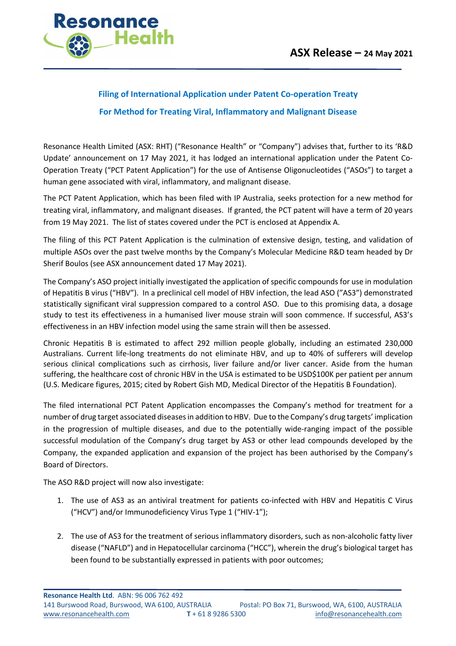

# **Filing of International Application under Patent Co-operation Treaty**

# **For Method for Treating Viral, Inflammatory and Malignant Disease**

Resonance Health Limited (ASX: RHT) ("Resonance Health" or "Company") advises that, further to its 'R&D Update' announcement on 17 May 2021, it has lodged an international application under the Patent Co-Operation Treaty ("PCT Patent Application") for the use of Antisense Oligonucleotides ("ASOs") to target a human gene associated with viral, inflammatory, and malignant disease.

The PCT Patent Application, which has been filed with IP Australia, seeks protection for a new method for treating viral, inflammatory, and malignant diseases. If granted, the PCT patent will have a term of 20 years from 19 May 2021. The list of states covered under the PCT is enclosed at Appendix A.

The filing of this PCT Patent Application is the culmination of extensive design, testing, and validation of multiple ASOs over the past twelve months by the Company's Molecular Medicine R&D team headed by Dr Sherif Boulos (see ASX announcement dated 17 May 2021).

The Company's ASO project initially investigated the application of specific compounds for use in modulation of Hepatitis B virus ("HBV"). In a preclinical cell model of HBV infection, the lead ASO ("AS3") demonstrated statistically significant viral suppression compared to a control ASO. Due to this promising data, a dosage study to test its effectiveness in a humanised liver mouse strain will soon commence. If successful, AS3's effectiveness in an HBV infection model using the same strain will then be assessed.

Chronic Hepatitis B is estimated to affect 292 million people globally, including an estimated 230,000 Australians. Current life-long treatments do not eliminate HBV, and up to 40% of sufferers will develop serious clinical complications such as cirrhosis, liver failure and/or liver cancer. Aside from the human suffering, the healthcare cost of chronic HBV in the USA is estimated to be USD\$100K per patient per annum (U.S. Medicare figures, 2015; cited by Robert Gish MD, Medical Director of the Hepatitis B Foundation).

The filed international PCT Patent Application encompasses the Company's method for treatment for a number of drug target associated diseases in addition to HBV. Due to the Company's drug targets' implication in the progression of multiple diseases, and due to the potentially wide-ranging impact of the possible successful modulation of the Company's drug target by AS3 or other lead compounds developed by the Company, the expanded application and expansion of the project has been authorised by the Company's Board of Directors.

The ASO R&D project will now also investigate:

- 1. The use of AS3 as an antiviral treatment for patients co-infected with HBV and Hepatitis C Virus ("HCV") and/or Immunodeficiency Virus Type 1 ("HIV-1");
- 2. The use of AS3 for the treatment of serious inflammatory disorders, such as non-alcoholic fatty liver disease ("NAFLD") and in Hepatocellular carcinoma ("HCC"), wherein the drug's biological target has been found to be substantially expressed in patients with poor outcomes;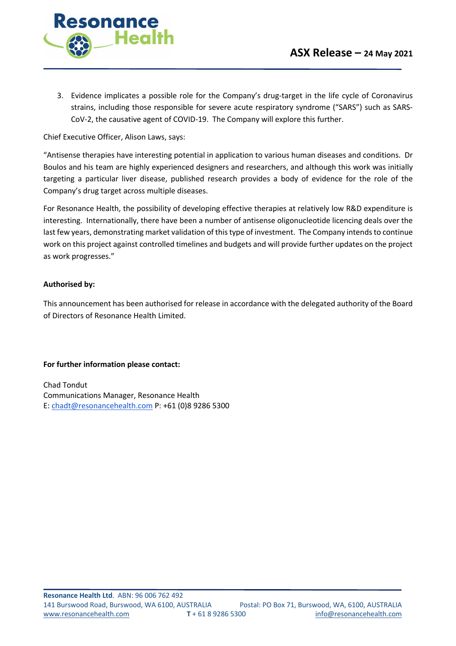

3. Evidence implicates a possible role for the Company's drug-target in the life cycle of Coronavirus strains, including those responsible for severe acute respiratory syndrome ("SARS") such as SARS-CoV-2, the causative agent of COVID-19. The Company will explore this further.

Chief Executive Officer, Alison Laws, says:

"Antisense therapies have interesting potential in application to various human diseases and conditions. Dr Boulos and his team are highly experienced designers and researchers, and although this work was initially targeting a particular liver disease, published research provides a body of evidence for the role of the Company's drug target across multiple diseases.

For Resonance Health, the possibility of developing effective therapies at relatively low R&D expenditure is interesting. Internationally, there have been a number of antisense oligonucleotide licencing deals over the last few years, demonstrating market validation of this type of investment. The Company intends to continue work on this project against controlled timelines and budgets and will provide further updates on the project as work progresses."

## **Authorised by:**

This announcement has been authorised for release in accordance with the delegated authority of the Board of Directors of Resonance Health Limited.

#### **For further information please contact:**

Chad Tondut Communications Manager, Resonance Health E: chadt@resonancehealth.com P: +61 (0)8 9286 5300